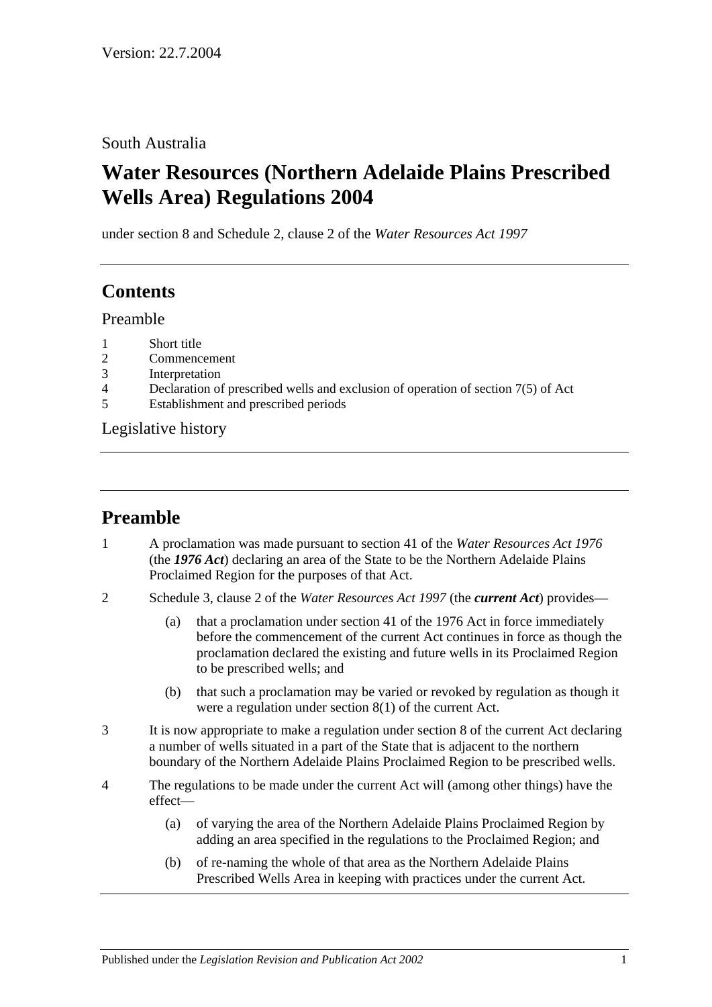### South Australia

# **Water Resources (Northern Adelaide Plains Prescribed Wells Area) Regulations 2004**

under section 8 and Schedule 2, clause 2 of the *Water Resources Act 1997*

## **Contents**

Preamble

- 1 [Short title](#page-1-0)
- 2 [Commencement](#page-1-1)
- 3 [Interpretation](#page-1-2)
- 4 [Declaration of prescribed wells and exclusion of operation of section 7\(5\) of Act](#page-1-3)
- 5 [Establishment and prescribed periods](#page-1-4)

[Legislative history](#page-2-0)

## **Preamble**

- 1 A proclamation was made pursuant to section 41 of the *[Water Resources Act 1976](http://www.legislation.sa.gov.au/index.aspx?action=legref&type=act&legtitle=Water%20Resources%20Act%201976)* (the *1976 Act*) declaring an area of the State to be the Northern Adelaide Plains Proclaimed Region for the purposes of that Act.
- 2 Schedule 3, clause 2 of the *[Water Resources Act](http://www.legislation.sa.gov.au/index.aspx?action=legref&type=act&legtitle=Water%20Resources%20Act%201997) 1997* (the *current Act*) provides—
	- (a) that a proclamation under section 41 of the 1976 Act in force immediately before the commencement of the current Act continues in force as though the proclamation declared the existing and future wells in its Proclaimed Region to be prescribed wells; and
	- (b) that such a proclamation may be varied or revoked by regulation as though it were a regulation under section 8(1) of the current Act.
- 3 It is now appropriate to make a regulation under section 8 of the current Act declaring a number of wells situated in a part of the State that is adjacent to the northern boundary of the Northern Adelaide Plains Proclaimed Region to be prescribed wells.
- 4 The regulations to be made under the current Act will (among other things) have the effect—
	- (a) of varying the area of the Northern Adelaide Plains Proclaimed Region by adding an area specified in the regulations to the Proclaimed Region; and
	- (b) of re-naming the whole of that area as the Northern Adelaide Plains Prescribed Wells Area in keeping with practices under the current Act.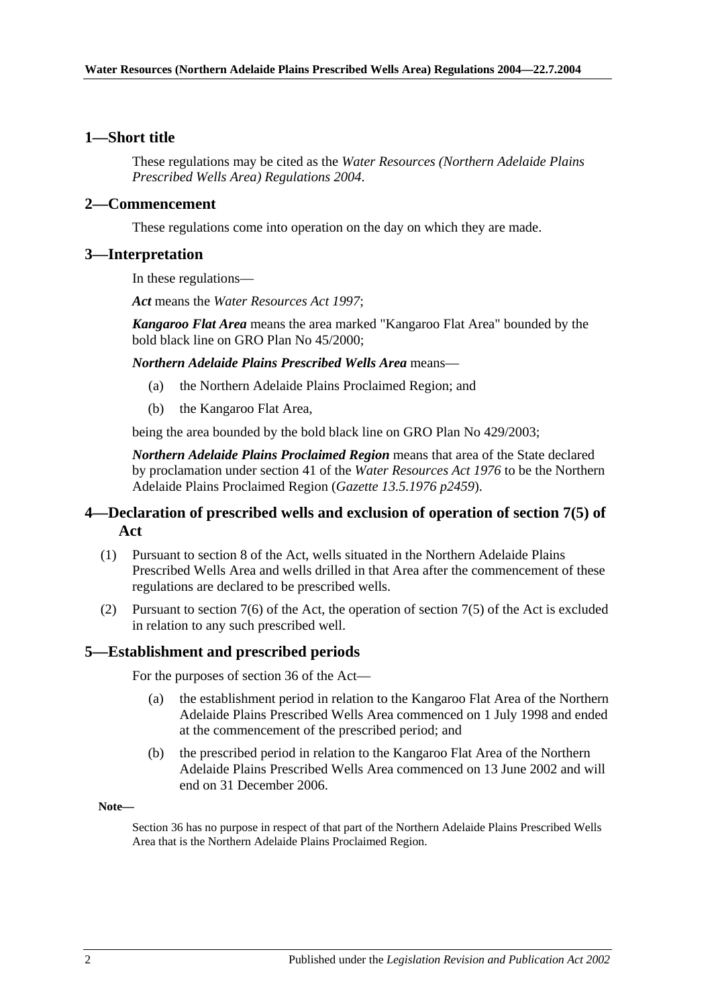#### <span id="page-1-0"></span>**1—Short title**

These regulations may be cited as the *Water Resources (Northern Adelaide Plains Prescribed Wells Area) Regulations 2004*.

#### <span id="page-1-1"></span>**2—Commencement**

These regulations come into operation on the day on which they are made.

#### <span id="page-1-2"></span>**3—Interpretation**

In these regulations—

*Act* means the *[Water Resources Act](http://www.legislation.sa.gov.au/index.aspx?action=legref&type=act&legtitle=Water%20Resources%20Act%201997) 1997*;

*Kangaroo Flat Area* means the area marked "Kangaroo Flat Area" bounded by the bold black line on GRO Plan No 45/2000;

*Northern Adelaide Plains Prescribed Wells Area* means—

- (a) the Northern Adelaide Plains Proclaimed Region; and
- (b) the Kangaroo Flat Area,

being the area bounded by the bold black line on GRO Plan No 429/2003;

*Northern Adelaide Plains Proclaimed Region* means that area of the State declared by proclamation under section 41 of the *[Water Resources Act 1976](http://www.legislation.sa.gov.au/index.aspx?action=legref&type=act&legtitle=Water%20Resources%20Act%201976)* to be the Northern Adelaide Plains Proclaimed Region (*Gazette 13.5.1976 p2459*).

### <span id="page-1-3"></span>**4—Declaration of prescribed wells and exclusion of operation of section 7(5) of Act**

- (1) Pursuant to section 8 of the Act, wells situated in the Northern Adelaide Plains Prescribed Wells Area and wells drilled in that Area after the commencement of these regulations are declared to be prescribed wells.
- (2) Pursuant to section 7(6) of the Act, the operation of section 7(5) of the Act is excluded in relation to any such prescribed well.

#### <span id="page-1-4"></span>**5—Establishment and prescribed periods**

For the purposes of section 36 of the Act—

- (a) the establishment period in relation to the Kangaroo Flat Area of the Northern Adelaide Plains Prescribed Wells Area commenced on 1 July 1998 and ended at the commencement of the prescribed period; and
- (b) the prescribed period in relation to the Kangaroo Flat Area of the Northern Adelaide Plains Prescribed Wells Area commenced on 13 June 2002 and will end on 31 December 2006.

**Note—**

Section 36 has no purpose in respect of that part of the Northern Adelaide Plains Prescribed Wells Area that is the Northern Adelaide Plains Proclaimed Region.